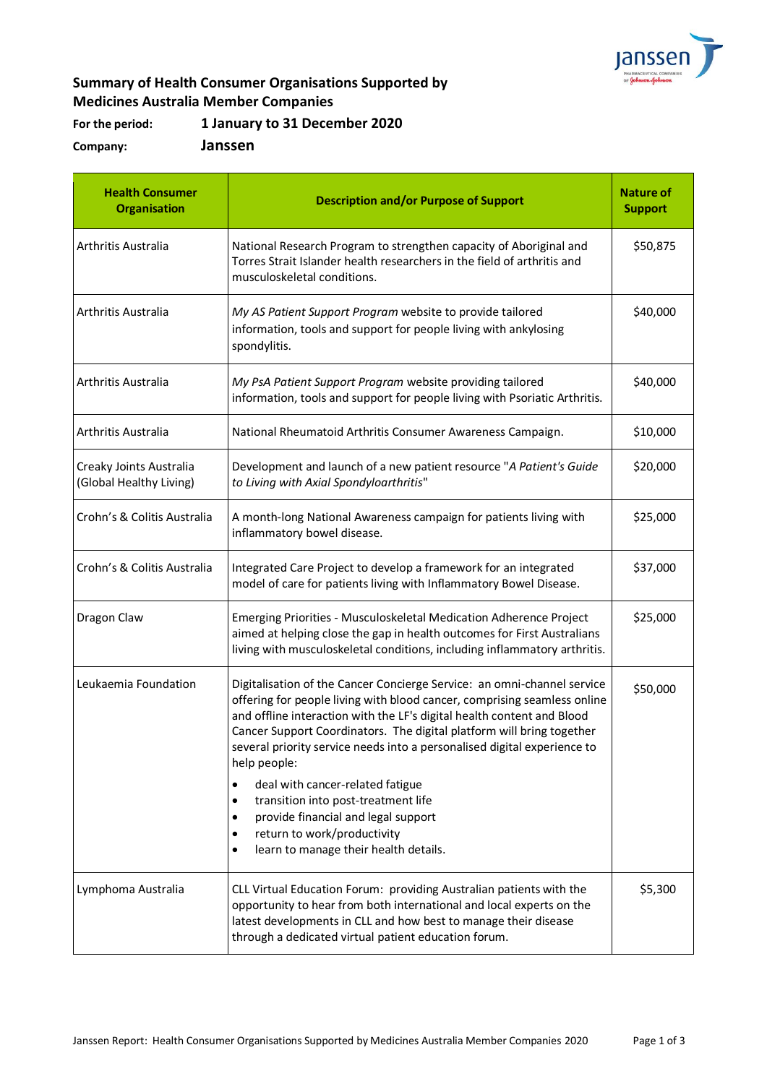

## **Summary of Health Consumer Organisations Supported by Medicines Australia Member Companies**

**For the period: 1 January to 31 December 2020**

**Company: Janssen**

| <b>Health Consumer</b><br><b>Organisation</b>      | <b>Description and/or Purpose of Support</b>                                                                                                                                                                                                                                                                                                                                                                                                                                                                                                                                                                                             | <b>Nature of</b><br><b>Support</b> |
|----------------------------------------------------|------------------------------------------------------------------------------------------------------------------------------------------------------------------------------------------------------------------------------------------------------------------------------------------------------------------------------------------------------------------------------------------------------------------------------------------------------------------------------------------------------------------------------------------------------------------------------------------------------------------------------------------|------------------------------------|
| Arthritis Australia                                | National Research Program to strengthen capacity of Aboriginal and<br>Torres Strait Islander health researchers in the field of arthritis and<br>musculoskeletal conditions.                                                                                                                                                                                                                                                                                                                                                                                                                                                             | \$50,875                           |
| Arthritis Australia                                | My AS Patient Support Program website to provide tailored<br>information, tools and support for people living with ankylosing<br>spondylitis.                                                                                                                                                                                                                                                                                                                                                                                                                                                                                            | \$40,000                           |
| Arthritis Australia                                | My PsA Patient Support Program website providing tailored<br>information, tools and support for people living with Psoriatic Arthritis.                                                                                                                                                                                                                                                                                                                                                                                                                                                                                                  | \$40,000                           |
| Arthritis Australia                                | National Rheumatoid Arthritis Consumer Awareness Campaign.                                                                                                                                                                                                                                                                                                                                                                                                                                                                                                                                                                               | \$10,000                           |
| Creaky Joints Australia<br>(Global Healthy Living) | Development and launch of a new patient resource "A Patient's Guide<br>to Living with Axial Spondyloarthritis"                                                                                                                                                                                                                                                                                                                                                                                                                                                                                                                           | \$20,000                           |
| Crohn's & Colitis Australia                        | A month-long National Awareness campaign for patients living with<br>inflammatory bowel disease.                                                                                                                                                                                                                                                                                                                                                                                                                                                                                                                                         | \$25,000                           |
| Crohn's & Colitis Australia                        | Integrated Care Project to develop a framework for an integrated<br>model of care for patients living with Inflammatory Bowel Disease.                                                                                                                                                                                                                                                                                                                                                                                                                                                                                                   | \$37,000                           |
| Dragon Claw                                        | Emerging Priorities - Musculoskeletal Medication Adherence Project<br>aimed at helping close the gap in health outcomes for First Australians<br>living with musculoskeletal conditions, including inflammatory arthritis.                                                                                                                                                                                                                                                                                                                                                                                                               | \$25,000                           |
| Leukaemia Foundation                               | Digitalisation of the Cancer Concierge Service: an omni-channel service<br>offering for people living with blood cancer, comprising seamless online<br>and offline interaction with the LF's digital health content and Blood<br>Cancer Support Coordinators. The digital platform will bring together<br>several priority service needs into a personalised digital experience to<br>help people:<br>deal with cancer-related fatigue<br>$\bullet$<br>transition into post-treatment life<br>provide financial and legal support<br>$\bullet$<br>return to work/productivity<br>٠<br>learn to manage their health details.<br>$\bullet$ | \$50,000                           |
| Lymphoma Australia                                 | CLL Virtual Education Forum: providing Australian patients with the<br>opportunity to hear from both international and local experts on the<br>latest developments in CLL and how best to manage their disease<br>through a dedicated virtual patient education forum.                                                                                                                                                                                                                                                                                                                                                                   | \$5,300                            |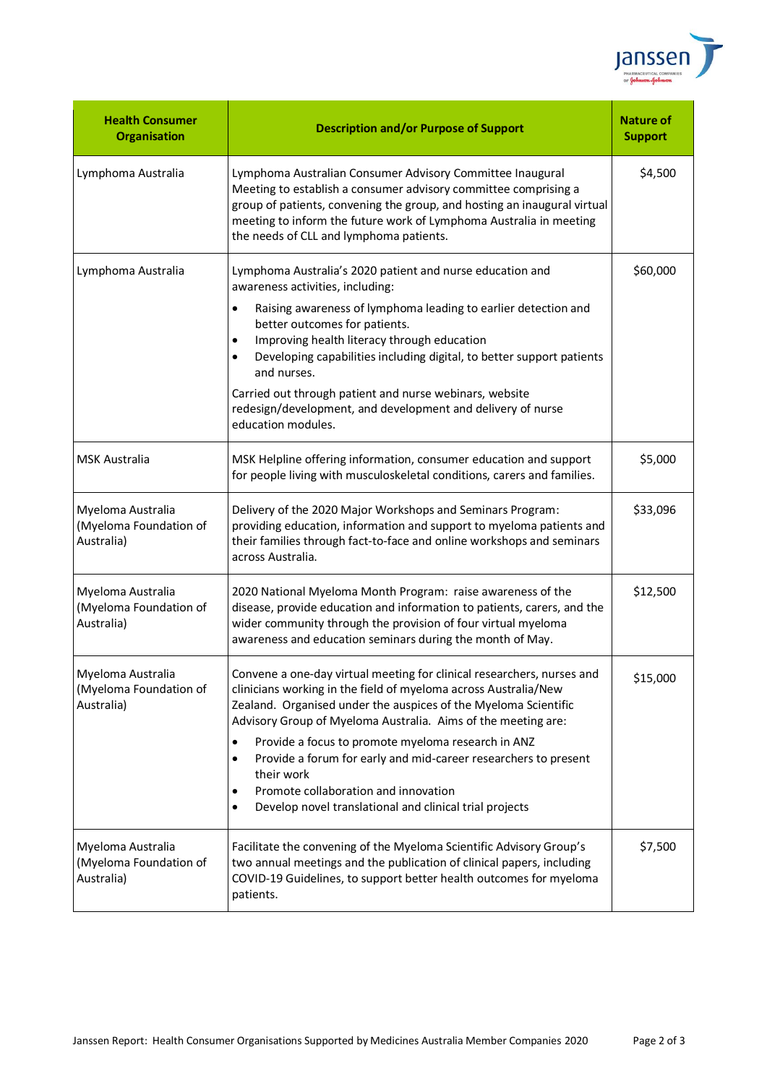

| <b>Health Consumer</b><br><b>Organisation</b>             | <b>Description and/or Purpose of Support</b>                                                                                                                                                                                                                                                                                                                                                                                                                                                                                              | <b>Nature of</b><br><b>Support</b> |
|-----------------------------------------------------------|-------------------------------------------------------------------------------------------------------------------------------------------------------------------------------------------------------------------------------------------------------------------------------------------------------------------------------------------------------------------------------------------------------------------------------------------------------------------------------------------------------------------------------------------|------------------------------------|
| Lymphoma Australia                                        | Lymphoma Australian Consumer Advisory Committee Inaugural<br>Meeting to establish a consumer advisory committee comprising a<br>group of patients, convening the group, and hosting an inaugural virtual<br>meeting to inform the future work of Lymphoma Australia in meeting<br>the needs of CLL and lymphoma patients.                                                                                                                                                                                                                 | \$4,500                            |
| Lymphoma Australia                                        | Lymphoma Australia's 2020 patient and nurse education and<br>awareness activities, including:<br>Raising awareness of lymphoma leading to earlier detection and<br>better outcomes for patients.<br>Improving health literacy through education<br>Developing capabilities including digital, to better support patients<br>and nurses.<br>Carried out through patient and nurse webinars, website<br>redesign/development, and development and delivery of nurse<br>education modules.                                                   | \$60,000                           |
| <b>MSK Australia</b>                                      | MSK Helpline offering information, consumer education and support<br>for people living with musculoskeletal conditions, carers and families.                                                                                                                                                                                                                                                                                                                                                                                              | \$5,000                            |
| Myeloma Australia<br>(Myeloma Foundation of<br>Australia) | Delivery of the 2020 Major Workshops and Seminars Program:<br>providing education, information and support to myeloma patients and<br>their families through fact-to-face and online workshops and seminars<br>across Australia.                                                                                                                                                                                                                                                                                                          | \$33,096                           |
| Myeloma Australia<br>(Myeloma Foundation of<br>Australia) | 2020 National Myeloma Month Program: raise awareness of the<br>disease, provide education and information to patients, carers, and the<br>wider community through the provision of four virtual myeloma<br>awareness and education seminars during the month of May.                                                                                                                                                                                                                                                                      | \$12,500                           |
| Myeloma Australia<br>(Myeloma Foundation of<br>Australia) | Convene a one-day virtual meeting for clinical researchers, nurses and<br>clinicians working in the field of myeloma across Australia/New<br>Zealand. Organised under the auspices of the Myeloma Scientific<br>Advisory Group of Myeloma Australia. Aims of the meeting are:<br>Provide a focus to promote myeloma research in ANZ<br>Provide a forum for early and mid-career researchers to present<br>٠<br>their work<br>Promote collaboration and innovation<br>Develop novel translational and clinical trial projects<br>$\bullet$ | \$15,000                           |
| Myeloma Australia<br>(Myeloma Foundation of<br>Australia) | Facilitate the convening of the Myeloma Scientific Advisory Group's<br>two annual meetings and the publication of clinical papers, including<br>COVID-19 Guidelines, to support better health outcomes for myeloma<br>patients.                                                                                                                                                                                                                                                                                                           | \$7,500                            |